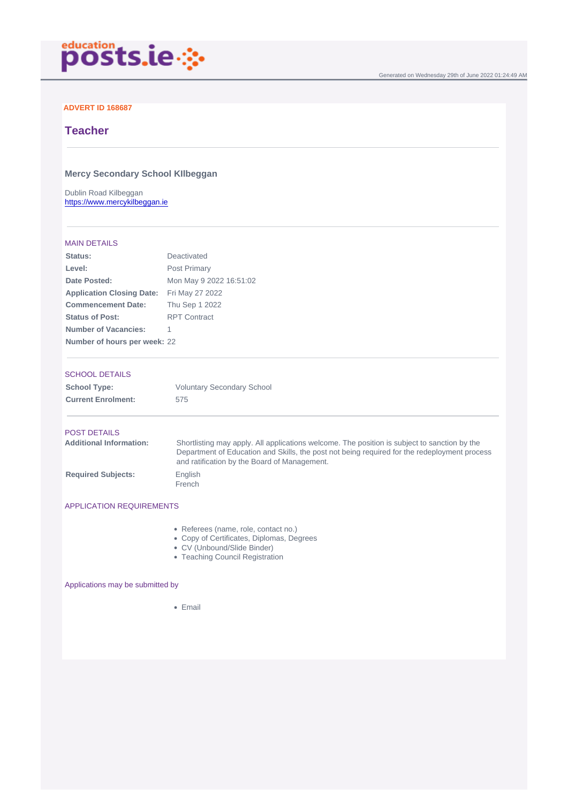Generated on Wednesday 29th of June 2022 01:24:49 AM

### ADVERT ID 168687

# **Teacher**

Mercy Secondary School KIlbeggan

Dublin Road Kilbeggan <https://www.mercykilbeggan.ie>

#### MAIN DETAILS

| Status:                          | Deactivated             |
|----------------------------------|-------------------------|
| Level:                           | Post Primary            |
| Date Posted:                     | Mon May 9 2022 16:51:02 |
| <b>Application Closing Date:</b> | Fri May 27 2022         |
| <b>Commencement Date:</b>        | Thu Sep 1 2022          |
| Status of Post:                  | <b>RPT Contract</b>     |
| Number of Vacancies:             | 1                       |
| Number of hours per week:        | 22                      |

#### SCHOOL DETAILS

| School Type:              | <b>Voluntary Secondary School</b> |
|---------------------------|-----------------------------------|
| <b>Current Enrolment:</b> | 575                               |

### POST DETAILS

| Additional Information: | Shortlisting may apply. All applications welcome. The position is subject to sanction by the<br>Department of Education and Skills, the post not being required for the redeployment process<br>and ratification by the Board of Management. |
|-------------------------|----------------------------------------------------------------------------------------------------------------------------------------------------------------------------------------------------------------------------------------------|
| Required Subjects:      | English<br>French                                                                                                                                                                                                                            |

## APPLICATION REQUIREMENTS

- Referees (name, role, contact no.)
- Copy of Certificates, Diplomas, Degrees
- CV (Unbound/Slide Binder)
- Teaching Council Registration

### Applications may be submitted by

• Email